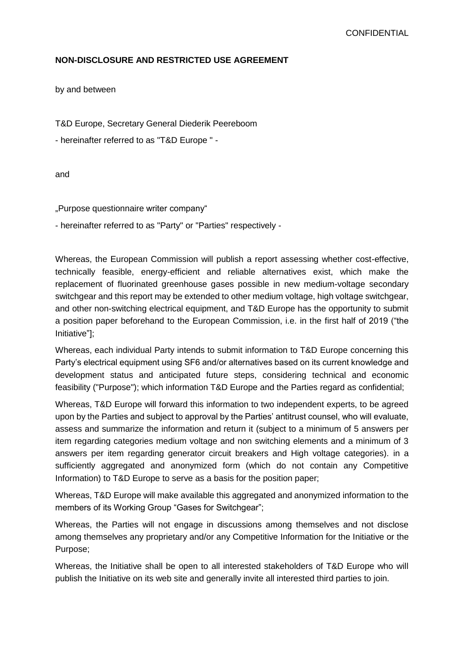#### **NON-DISCLOSURE AND RESTRICTED USE AGREEMENT**

by and between

T&D Europe, Secretary General Diederik Peereboom

- hereinafter referred to as "T&D Europe " -

and

"Purpose questionnaire writer company"

- hereinafter referred to as "Party" or "Parties" respectively -

Whereas, the European Commission will publish a report assessing whether cost-effective, technically feasible, energy-efficient and reliable alternatives exist, which make the replacement of fluorinated greenhouse gases possible in new medium-voltage secondary switchgear and this report may be extended to other medium voltage, high voltage switchgear, and other non-switching electrical equipment, and T&D Europe has the opportunity to submit a position paper beforehand to the European Commission, i.e. in the first half of 2019 ("the Initiative"];

Whereas, each individual Party intends to submit information to T&D Europe concerning this Party's electrical equipment using SF6 and/or alternatives based on its current knowledge and development status and anticipated future steps, considering technical and economic feasibility ("Purpose"); which information T&D Europe and the Parties regard as confidential;

Whereas, T&D Europe will forward this information to two independent experts, to be agreed upon by the Parties and subject to approval by the Parties' antitrust counsel, who will evaluate, assess and summarize the information and return it (subject to a minimum of 5 answers per item regarding categories medium voltage and non switching elements and a minimum of 3 answers per item regarding generator circuit breakers and High voltage categories). in a sufficiently aggregated and anonymized form (which do not contain any Competitive Information) to T&D Europe to serve as a basis for the position paper;

Whereas, T&D Europe will make available this aggregated and anonymized information to the members of its Working Group "Gases for Switchgear";

Whereas, the Parties will not engage in discussions among themselves and not disclose among themselves any proprietary and/or any Competitive Information for the Initiative or the Purpose;

Whereas, the Initiative shall be open to all interested stakeholders of T&D Europe who will publish the Initiative on its web site and generally invite all interested third parties to join.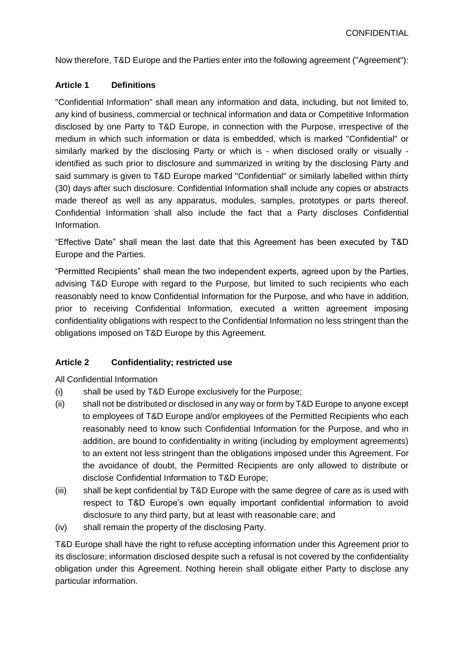Now therefore, T&D Europe and the Parties enter into the following agreement ("Agreement"):

#### **Article 1 Definitions**

"Confidential Information" shall mean any information and data, including, but not limited to, any kind of business, commercial or technical information and data or Competitive Information disclosed by one Party to T&D Europe, in connection with the Purpose, irrespective of the medium in which such information or data is embedded, which is marked "Confidential" or similarly marked by the disclosing Party or which is - when disclosed orally or visually identified as such prior to disclosure and summarized in writing by the disclosing Party and said summary is given to T&D Europe marked "Confidential" or similarly labelled within thirty (30) days after such disclosure. Confidential Information shall include any copies or abstracts made thereof as well as any apparatus, modules, samples, prototypes or parts thereof. Confidential Information shall also include the fact that a Party discloses Confidential Information.

"Effective Date" shall mean the last date that this Agreement has been executed by T&D Europe and the Parties.

"Permitted Recipients" shall mean the two independent experts, agreed upon by the Parties, advising T&D Europe with regard to the Purpose, but limited to such recipients who each reasonably need to know Confidential Information for the Purpose, and who have in addition, prior to receiving Confidential Information, executed a written agreement imposing confidentiality obligations with respect to the Confidential Information no less stringent than the obligations imposed on T&D Europe by this Agreement.

# **Article 2 Confidentiality; restricted use**

All Confidential Information

- (i) shall be used by T&D Europe exclusively for the Purpose;
- (ii) shall not be distributed or disclosed in any way or form by T&D Europe to anyone except to employees of T&D Europe and/or employees of the Permitted Recipients who each reasonably need to know such Confidential Information for the Purpose, and who in addition, are bound to confidentiality in writing (including by employment agreements) to an extent not less stringent than the obligations imposed under this Agreement. For the avoidance of doubt, the Permitted Recipients are only allowed to distribute or disclose Confidential Information to T&D Europe;
- (iii) shall be kept confidential by T&D Europe with the same degree of care as is used with respect to T&D Europe's own equally important confidential information to avoid disclosure to any third party, but at least with reasonable care; and
- (iv) shall remain the property of the disclosing Party.

T&D Europe shall have the right to refuse accepting information under this Agreement prior to its disclosure; information disclosed despite such a refusal is not covered by the confidentiality obligation under this Agreement. Nothing herein shall obligate either Party to disclose any particular information.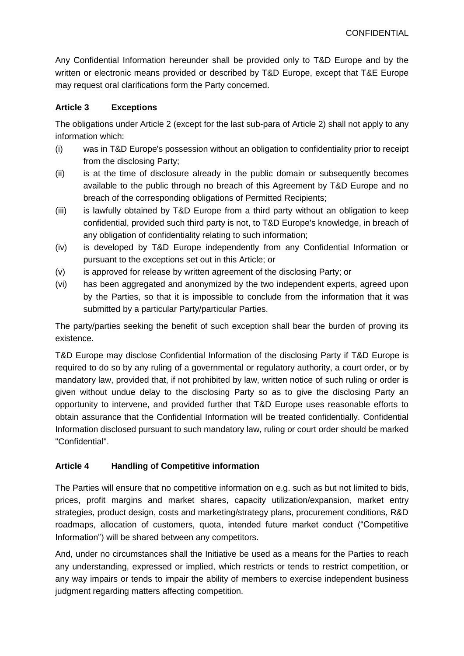Any Confidential Information hereunder shall be provided only to T&D Europe and by the written or electronic means provided or described by T&D Europe, except that T&E Europe may request oral clarifications form the Party concerned.

# **Article 3 Exceptions**

The obligations under Article 2 (except for the last sub-para of Article 2) shall not apply to any information which:

- (i) was in T&D Europe's possession without an obligation to confidentiality prior to receipt from the disclosing Party;
- (ii) is at the time of disclosure already in the public domain or subsequently becomes available to the public through no breach of this Agreement by T&D Europe and no breach of the corresponding obligations of Permitted Recipients;
- (iii) is lawfully obtained by T&D Europe from a third party without an obligation to keep confidential, provided such third party is not, to T&D Europe's knowledge, in breach of any obligation of confidentiality relating to such information;
- (iv) is developed by T&D Europe independently from any Confidential Information or pursuant to the exceptions set out in this Article; or
- (v) is approved for release by written agreement of the disclosing Party; or
- (vi) has been aggregated and anonymized by the two independent experts, agreed upon by the Parties, so that it is impossible to conclude from the information that it was submitted by a particular Party/particular Parties.

The party/parties seeking the benefit of such exception shall bear the burden of proving its existence.

T&D Europe may disclose Confidential Information of the disclosing Party if T&D Europe is required to do so by any ruling of a governmental or regulatory authority, a court order, or by mandatory law, provided that, if not prohibited by law, written notice of such ruling or order is given without undue delay to the disclosing Party so as to give the disclosing Party an opportunity to intervene, and provided further that T&D Europe uses reasonable efforts to obtain assurance that the Confidential Information will be treated confidentially. Confidential Information disclosed pursuant to such mandatory law, ruling or court order should be marked "Confidential".

# **Article 4 Handling of Competitive information**

The Parties will ensure that no competitive information on e.g. such as but not limited to bids, prices, profit margins and market shares, capacity utilization/expansion, market entry strategies, product design, costs and marketing/strategy plans, procurement conditions, R&D roadmaps, allocation of customers, quota, intended future market conduct ("Competitive Information") will be shared between any competitors.

And, under no circumstances shall the Initiative be used as a means for the Parties to reach any understanding, expressed or implied, which restricts or tends to restrict competition, or any way impairs or tends to impair the ability of members to exercise independent business judgment regarding matters affecting competition.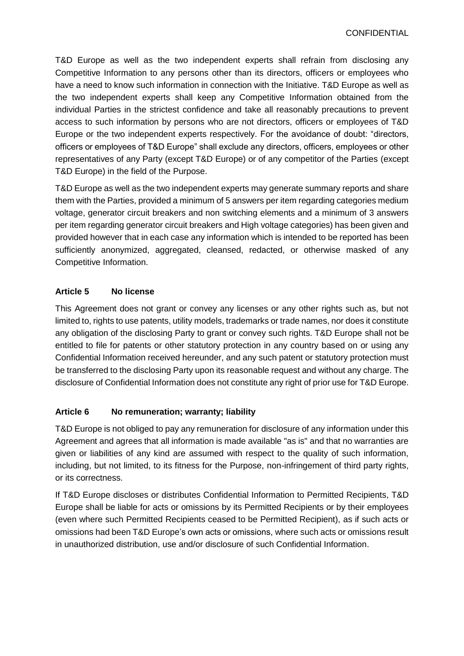T&D Europe as well as the two independent experts shall refrain from disclosing any Competitive Information to any persons other than its directors, officers or employees who have a need to know such information in connection with the Initiative. T&D Europe as well as the two independent experts shall keep any Competitive Information obtained from the individual Parties in the strictest confidence and take all reasonably precautions to prevent access to such information by persons who are not directors, officers or employees of T&D Europe or the two independent experts respectively. For the avoidance of doubt: "directors, officers or employees of T&D Europe" shall exclude any directors, officers, employees or other representatives of any Party (except T&D Europe) or of any competitor of the Parties (except T&D Europe) in the field of the Purpose.

T&D Europe as well as the two independent experts may generate summary reports and share them with the Parties, provided a minimum of 5 answers per item regarding categories medium voltage, generator circuit breakers and non switching elements and a minimum of 3 answers per item regarding generator circuit breakers and High voltage categories) has been given and provided however that in each case any information which is intended to be reported has been sufficiently anonymized, aggregated, cleansed, redacted, or otherwise masked of any Competitive Information.

# **Article 5 No license**

This Agreement does not grant or convey any licenses or any other rights such as, but not limited to, rights to use patents, utility models, trademarks or trade names, nor does it constitute any obligation of the disclosing Party to grant or convey such rights. T&D Europe shall not be entitled to file for patents or other statutory protection in any country based on or using any Confidential Information received hereunder, and any such patent or statutory protection must be transferred to the disclosing Party upon its reasonable request and without any charge. The disclosure of Confidential Information does not constitute any right of prior use for T&D Europe.

# **Article 6 No remuneration; warranty; liability**

T&D Europe is not obliged to pay any remuneration for disclosure of any information under this Agreement and agrees that all information is made available "as is" and that no warranties are given or liabilities of any kind are assumed with respect to the quality of such information, including, but not limited, to its fitness for the Purpose, non-infringement of third party rights, or its correctness.

If T&D Europe discloses or distributes Confidential Information to Permitted Recipients, T&D Europe shall be liable for acts or omissions by its Permitted Recipients or by their employees (even where such Permitted Recipients ceased to be Permitted Recipient), as if such acts or omissions had been T&D Europe's own acts or omissions, where such acts or omissions result in unauthorized distribution, use and/or disclosure of such Confidential Information.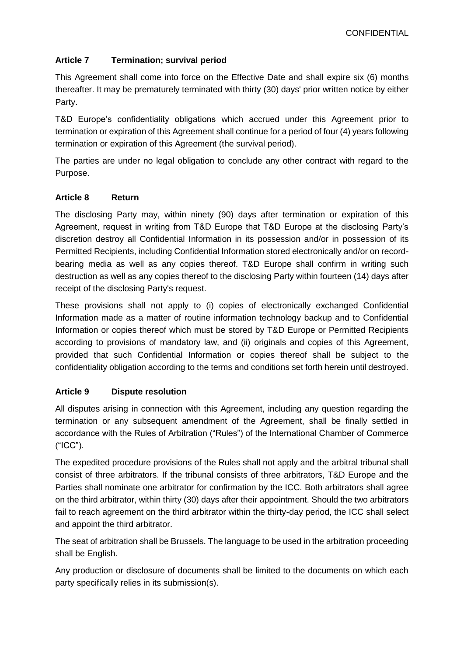# **Article 7 Termination; survival period**

This Agreement shall come into force on the Effective Date and shall expire six (6) months thereafter. It may be prematurely terminated with thirty (30) days' prior written notice by either Party.

T&D Europe's confidentiality obligations which accrued under this Agreement prior to termination or expiration of this Agreement shall continue for a period of four (4) years following termination or expiration of this Agreement (the survival period).

The parties are under no legal obligation to conclude any other contract with regard to the Purpose.

# **Article 8 Return**

The disclosing Party may, within ninety (90) days after termination or expiration of this Agreement, request in writing from T&D Europe that T&D Europe at the disclosing Party's discretion destroy all Confidential Information in its possession and/or in possession of its Permitted Recipients, including Confidential Information stored electronically and/or on recordbearing media as well as any copies thereof. T&D Europe shall confirm in writing such destruction as well as any copies thereof to the disclosing Party within fourteen (14) days after receipt of the disclosing Party's request.

These provisions shall not apply to (i) copies of electronically exchanged Confidential Information made as a matter of routine information technology backup and to Confidential Information or copies thereof which must be stored by T&D Europe or Permitted Recipients according to provisions of mandatory law, and (ii) originals and copies of this Agreement, provided that such Confidential Information or copies thereof shall be subject to the confidentiality obligation according to the terms and conditions set forth herein until destroyed.

# **Article 9 Dispute resolution**

All disputes arising in connection with this Agreement, including any question regarding the termination or any subsequent amendment of the Agreement, shall be finally settled in accordance with the Rules of Arbitration ("Rules") of the International Chamber of Commerce ("ICC").

The expedited procedure provisions of the Rules shall not apply and the arbitral tribunal shall consist of three arbitrators. If the tribunal consists of three arbitrators, T&D Europe and the Parties shall nominate one arbitrator for confirmation by the ICC. Both arbitrators shall agree on the third arbitrator, within thirty (30) days after their appointment. Should the two arbitrators fail to reach agreement on the third arbitrator within the thirty-day period, the ICC shall select and appoint the third arbitrator.

The seat of arbitration shall be Brussels. The language to be used in the arbitration proceeding shall be English.

Any production or disclosure of documents shall be limited to the documents on which each party specifically relies in its submission(s).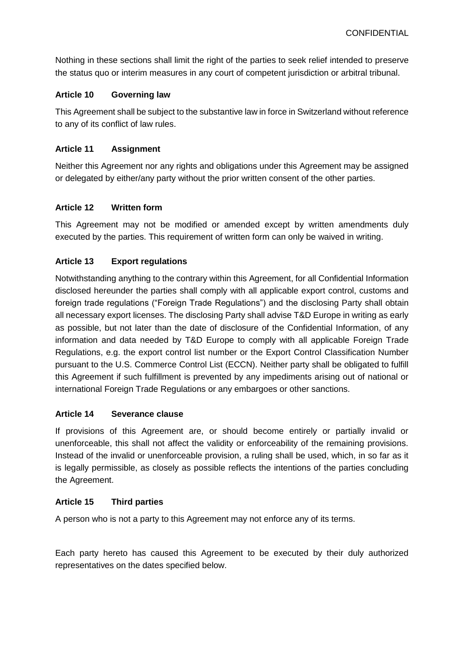Nothing in these sections shall limit the right of the parties to seek relief intended to preserve the status quo or interim measures in any court of competent jurisdiction or arbitral tribunal.

#### **Article 10 Governing law**

This Agreement shall be subject to the substantive law in force in Switzerland without reference to any of its conflict of law rules.

#### **Article 11 Assignment**

Neither this Agreement nor any rights and obligations under this Agreement may be assigned or delegated by either/any party without the prior written consent of the other parties.

#### **Article 12 Written form**

This Agreement may not be modified or amended except by written amendments duly executed by the parties. This requirement of written form can only be waived in writing.

# **Article 13 Export regulations**

Notwithstanding anything to the contrary within this Agreement, for all Confidential Information disclosed hereunder the parties shall comply with all applicable export control, customs and foreign trade regulations ("Foreign Trade Regulations") and the disclosing Party shall obtain all necessary export licenses. The disclosing Party shall advise T&D Europe in writing as early as possible, but not later than the date of disclosure of the Confidential Information, of any information and data needed by T&D Europe to comply with all applicable Foreign Trade Regulations, e.g. the export control list number or the Export Control Classification Number pursuant to the U.S. Commerce Control List (ECCN). Neither party shall be obligated to fulfill this Agreement if such fulfillment is prevented by any impediments arising out of national or international Foreign Trade Regulations or any embargoes or other sanctions.

#### **Article 14 Severance clause**

If provisions of this Agreement are, or should become entirely or partially invalid or unenforceable, this shall not affect the validity or enforceability of the remaining provisions. Instead of the invalid or unenforceable provision, a ruling shall be used, which, in so far as it is legally permissible, as closely as possible reflects the intentions of the parties concluding the Agreement.

# **Article 15 Third parties**

A person who is not a party to this Agreement may not enforce any of its terms.

Each party hereto has caused this Agreement to be executed by their duly authorized representatives on the dates specified below.